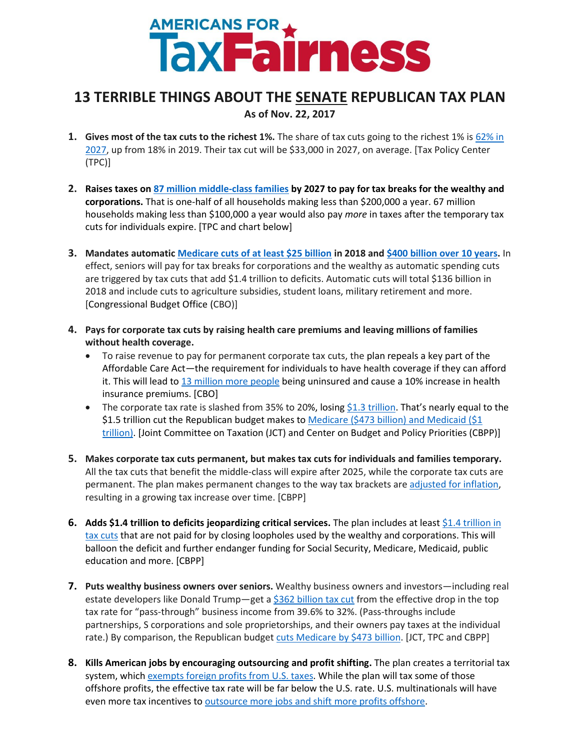## **AMERICANS FOR A THESS**

## **13 TERRIBLE THINGS ABOUT THE SENATE REPUBLICAN TAX PLAN As of Nov. 22, 2017**

- **1. Gives most of the tax cuts to the richest 1%.** The share of tax cuts going to the richest 1% is [62% in](http://www.taxpolicycenter.org/sites/default/files/publication/148831/2001605-distributional-analysis-of-the-tax-cuts-and-jobs-act-as-passed-by-the-senate-finance-committee_1.pdf)  [2027,](http://www.taxpolicycenter.org/sites/default/files/publication/148831/2001605-distributional-analysis-of-the-tax-cuts-and-jobs-act-as-passed-by-the-senate-finance-committee_1.pdf) up from 18% in 2019. Their tax cut will be \$33,000 in 2027, on average. [Tax Policy Center (TPC)]
- **2. Raises taxes on 87 [million middle-class families](https://americansfortaxfairness.org/wp-content/uploads/ATF-Tax-Increases-Under-Senate-Tax-Plan-11.20.17-1.xlsx) by 2027 to pay for tax breaks for the wealthy and corporations.** That is one-half of all households making less than \$200,000 a year. 67 million households making less than \$100,000 a year would also pay *more* in taxes after the temporary tax cuts for individuals expire. [TPC and chart below]
- **3. Mandates automati[c Medicare cuts of at least \\$25 billion](https://www.cbo.gov/publication/53319) in 2018 and [\\$400 billion over 10 years.](https://americansfortaxfairness.org/wp-content/uploads/Medicare-Cuts-from-Senate-Tax-Plan-Due-to-Paygo.xlsx)** In effect, seniors will pay for tax breaks for corporations and the wealthy as automatic spending cuts are triggered by tax cuts that add \$1.4 trillion to deficits. Automatic cuts will total \$136 billion in 2018 and include cuts to agriculture subsidies, student loans, military retirement and more. [Congressional Budget Office (CBO)]
- **4. Pays for corporate tax cuts by raising health care premiums and leaving millions of families without health coverage.**
	- To raise revenue to pay for permanent corporate tax cuts, the plan repeals a key part of the Affordable Care Act—the requirement for individuals to have health coverage if they can afford it. This will lead to [13 million more people](https://www.cbo.gov/system/files/115th-congress-2017-2018/reports/53300-individualmandate.pdf) being uninsured and cause a 10% increase in health insurance premiums. [CBO]
	- The corporate tax rate is slashed from 35% to 20%, losin[g \\$1.3 trillion](https://www.jct.gov/publications.html?func=startdown&id=5043). That's nearly equal to the \$1.5 trillion cut the Republican budget makes to [Medicare \(\\$473 billion\) and Medicaid](https://www.cbpp.org/sites/default/files/atoms/files/10-3-17tax.pdf) (\$1 trillion). [Joint Committee on Taxation (JCT) and Center on Budget and Policy Priorities (CBPP)]
- **5. Makes corporate tax cuts permanent, but makes tax cuts for individuals and families temporary.**  All the tax cuts that benefit the middle-class will expire after 2025, while the corporate tax cuts are permanent. The plan makes permanent changes to the way tax brackets ar[e adjusted for inflation,](https://www.cbpp.org/blog/cbo-and-jct-estimates-show-senate-bill-skewed-to-top-harmful-to-low-and-middle-income-americans) resulting in a growing tax increase over time. [CBPP]
- **6.** Adds \$1.4 trillion to deficits jeopardizing critical services. The plan includes at least \$1.4 trillion in [tax cuts](https://www.cbpp.org/blog/senate-tax-bill-could-prove-costlier-than-official-estimate) that are not paid for by closing loopholes used by the wealthy and corporations. This will balloon the deficit and further endanger funding for Social Security, Medicare, Medicaid, public education and more. [CBPP]
- **7. Puts wealthy business owners over seniors.** Wealthy business owners and investors—including real estate developers like Donald Trump—get a \$362 billion [tax cut](https://www.jct.gov/publications.html?func=startdown&id=5043) from the effective drop in the top tax rate for "pass-through" business income [from 39.6% to 32%.](http://www.taxpolicycenter.org/taxvox/two-gop-tax-plans-differ-details-both-are-big-tax-cuts-business-modest-reductions-households) (Pass-throughs include partnerships, S corporations and sole proprietorships, and their owners pay taxes at the individual rate.) By comparison, the Republican budge[t cuts Medicare by \\$473](https://www.cbpp.org/sites/default/files/atoms/files/10-3-17tax.pdf) billion. [JCT, TPC and CBPP]
- **8. Kills American jobs by encouraging outsourcing and profit shifting.** The plan creates a territorial tax system, which [exempts foreign profits from U.S. taxes.](http://fortune.com/2017/11/20/gop-tax-plan-donald-trump-america-first/) While the plan will tax some of those offshore profits, the effective tax rate will be far below the U.S. rate. U.S. multinationals will have even more tax incentives to [outsource more jobs and shift more profits offshore.](https://www.washingtonpost.com/news/posteverything/wp/2017/11/16/republican-tax-plan-will-lead-to-more-offshoring-of-u-s-jobs-and-a-larger-trade-deficit/?utm_term=.59271e6cc35c)